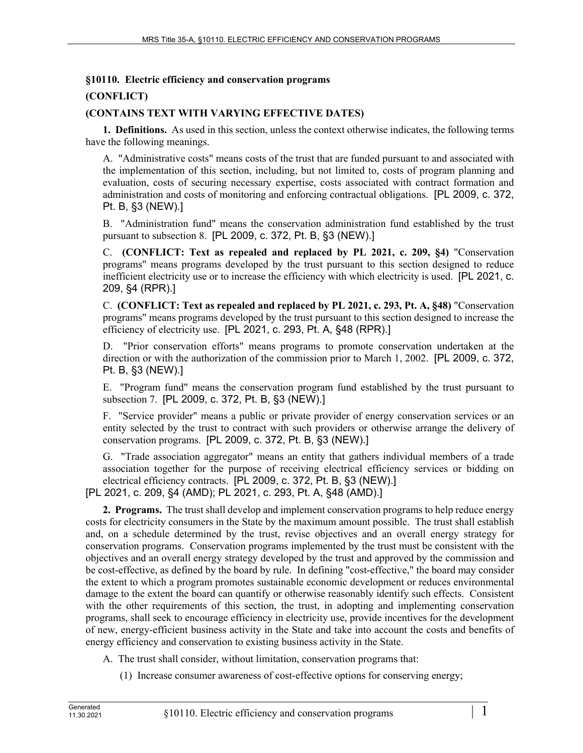## **§10110. Electric efficiency and conservation programs**

## **(CONFLICT)**

## **(CONTAINS TEXT WITH VARYING EFFECTIVE DATES)**

**1. Definitions.** As used in this section, unless the context otherwise indicates, the following terms have the following meanings.

A. "Administrative costs" means costs of the trust that are funded pursuant to and associated with the implementation of this section, including, but not limited to, costs of program planning and evaluation, costs of securing necessary expertise, costs associated with contract formation and administration and costs of monitoring and enforcing contractual obligations. [PL 2009, c. 372, Pt. B, §3 (NEW).]

B. "Administration fund" means the conservation administration fund established by the trust pursuant to subsection 8. [PL 2009, c. 372, Pt. B, §3 (NEW).]

C. **(CONFLICT: Text as repealed and replaced by PL 2021, c. 209, §4)** "Conservation programs" means programs developed by the trust pursuant to this section designed to reduce inefficient electricity use or to increase the efficiency with which electricity is used. [PL 2021, c. 209, §4 (RPR).]

C. **(CONFLICT: Text as repealed and replaced by PL 2021, c. 293, Pt. A, §48)** "Conservation programs" means programs developed by the trust pursuant to this section designed to increase the efficiency of electricity use. [PL 2021, c. 293, Pt. A, §48 (RPR).]

D. "Prior conservation efforts" means programs to promote conservation undertaken at the direction or with the authorization of the commission prior to March 1, 2002. [PL 2009, c. 372, Pt. B, §3 (NEW).]

E. "Program fund" means the conservation program fund established by the trust pursuant to subsection 7. [PL 2009, c. 372, Pt. B, §3 (NEW).]

F. "Service provider" means a public or private provider of energy conservation services or an entity selected by the trust to contract with such providers or otherwise arrange the delivery of conservation programs. [PL 2009, c. 372, Pt. B, §3 (NEW).]

G. "Trade association aggregator" means an entity that gathers individual members of a trade association together for the purpose of receiving electrical efficiency services or bidding on electrical efficiency contracts. [PL 2009, c. 372, Pt. B, §3 (NEW).]

[PL 2021, c. 209, §4 (AMD); PL 2021, c. 293, Pt. A, §48 (AMD).]

**2. Programs.** The trust shall develop and implement conservation programs to help reduce energy costs for electricity consumers in the State by the maximum amount possible. The trust shall establish and, on a schedule determined by the trust, revise objectives and an overall energy strategy for conservation programs. Conservation programs implemented by the trust must be consistent with the objectives and an overall energy strategy developed by the trust and approved by the commission and be cost-effective, as defined by the board by rule. In defining "cost-effective," the board may consider the extent to which a program promotes sustainable economic development or reduces environmental damage to the extent the board can quantify or otherwise reasonably identify such effects. Consistent with the other requirements of this section, the trust, in adopting and implementing conservation programs, shall seek to encourage efficiency in electricity use, provide incentives for the development of new, energy-efficient business activity in the State and take into account the costs and benefits of energy efficiency and conservation to existing business activity in the State.

- A. The trust shall consider, without limitation, conservation programs that:
	- (1) Increase consumer awareness of cost-effective options for conserving energy;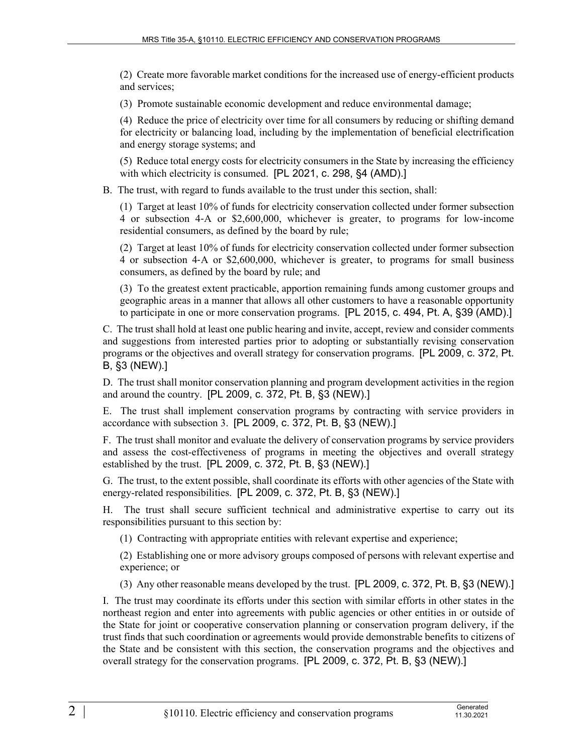(2) Create more favorable market conditions for the increased use of energy-efficient products and services;

(3) Promote sustainable economic development and reduce environmental damage;

(4) Reduce the price of electricity over time for all consumers by reducing or shifting demand for electricity or balancing load, including by the implementation of beneficial electrification and energy storage systems; and

(5) Reduce total energy costs for electricity consumers in the State by increasing the efficiency with which electricity is consumed. [PL 2021, c. 298, §4 (AMD).]

B. The trust, with regard to funds available to the trust under this section, shall:

(1) Target at least 10% of funds for electricity conservation collected under former subsection 4 or subsection 4‑A or \$2,600,000, whichever is greater, to programs for low-income residential consumers, as defined by the board by rule;

(2) Target at least 10% of funds for electricity conservation collected under former subsection 4 or subsection 4‑A or \$2,600,000, whichever is greater, to programs for small business consumers, as defined by the board by rule; and

(3) To the greatest extent practicable, apportion remaining funds among customer groups and geographic areas in a manner that allows all other customers to have a reasonable opportunity to participate in one or more conservation programs. [PL 2015, c. 494, Pt. A, §39 (AMD).]

C. The trust shall hold at least one public hearing and invite, accept, review and consider comments and suggestions from interested parties prior to adopting or substantially revising conservation programs or the objectives and overall strategy for conservation programs. [PL 2009, c. 372, Pt. B, §3 (NEW).]

D. The trust shall monitor conservation planning and program development activities in the region and around the country. [PL 2009, c. 372, Pt. B, §3 (NEW).]

E. The trust shall implement conservation programs by contracting with service providers in accordance with subsection 3. [PL 2009, c. 372, Pt. B, §3 (NEW).]

F. The trust shall monitor and evaluate the delivery of conservation programs by service providers and assess the cost-effectiveness of programs in meeting the objectives and overall strategy established by the trust. [PL 2009, c. 372, Pt. B, §3 (NEW).]

G. The trust, to the extent possible, shall coordinate its efforts with other agencies of the State with energy-related responsibilities. [PL 2009, c. 372, Pt. B, §3 (NEW).]

H. The trust shall secure sufficient technical and administrative expertise to carry out its responsibilities pursuant to this section by:

(1) Contracting with appropriate entities with relevant expertise and experience;

(2) Establishing one or more advisory groups composed of persons with relevant expertise and experience; or

(3) Any other reasonable means developed by the trust. [PL 2009, c. 372, Pt. B, §3 (NEW).]

I. The trust may coordinate its efforts under this section with similar efforts in other states in the northeast region and enter into agreements with public agencies or other entities in or outside of the State for joint or cooperative conservation planning or conservation program delivery, if the trust finds that such coordination or agreements would provide demonstrable benefits to citizens of the State and be consistent with this section, the conservation programs and the objectives and overall strategy for the conservation programs. [PL 2009, c. 372, Pt. B, §3 (NEW).]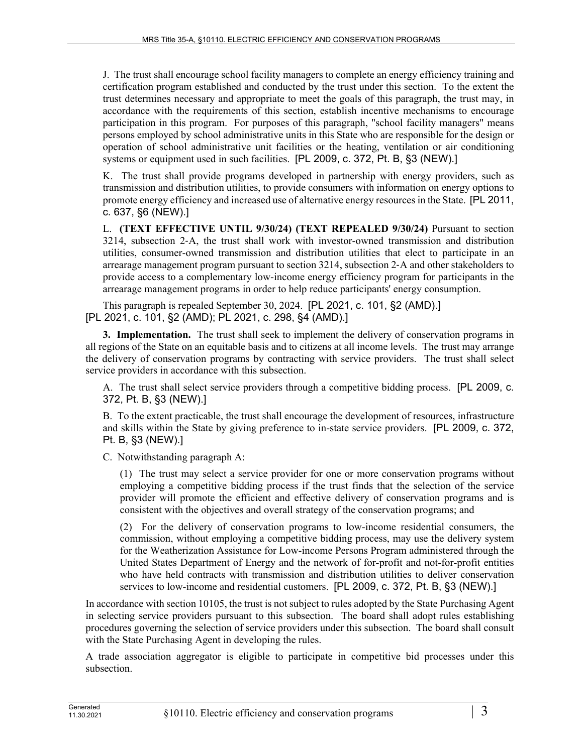J. The trust shall encourage school facility managers to complete an energy efficiency training and certification program established and conducted by the trust under this section. To the extent the trust determines necessary and appropriate to meet the goals of this paragraph, the trust may, in accordance with the requirements of this section, establish incentive mechanisms to encourage participation in this program. For purposes of this paragraph, "school facility managers" means persons employed by school administrative units in this State who are responsible for the design or operation of school administrative unit facilities or the heating, ventilation or air conditioning systems or equipment used in such facilities. [PL 2009, c. 372, Pt. B, §3 (NEW).]

K. The trust shall provide programs developed in partnership with energy providers, such as transmission and distribution utilities, to provide consumers with information on energy options to promote energy efficiency and increased use of alternative energy resources in the State. [PL 2011, c. 637, §6 (NEW).]

L. **(TEXT EFFECTIVE UNTIL 9/30/24) (TEXT REPEALED 9/30/24)** Pursuant to section 3214, subsection 2‑A, the trust shall work with investor-owned transmission and distribution utilities, consumer-owned transmission and distribution utilities that elect to participate in an arrearage management program pursuant to section 3214, subsection 2‑A and other stakeholders to provide access to a complementary low-income energy efficiency program for participants in the arrearage management programs in order to help reduce participants' energy consumption.

This paragraph is repealed September 30, 2024. [PL 2021, c. 101, §2 (AMD).] [PL 2021, c. 101, §2 (AMD); PL 2021, c. 298, §4 (AMD).]

**3. Implementation.** The trust shall seek to implement the delivery of conservation programs in all regions of the State on an equitable basis and to citizens at all income levels. The trust may arrange the delivery of conservation programs by contracting with service providers. The trust shall select service providers in accordance with this subsection.

A. The trust shall select service providers through a competitive bidding process. [PL 2009, c. 372, Pt. B, §3 (NEW).]

B. To the extent practicable, the trust shall encourage the development of resources, infrastructure and skills within the State by giving preference to in-state service providers. [PL 2009, c. 372, Pt. B, §3 (NEW).]

C. Notwithstanding paragraph A:

(1) The trust may select a service provider for one or more conservation programs without employing a competitive bidding process if the trust finds that the selection of the service provider will promote the efficient and effective delivery of conservation programs and is consistent with the objectives and overall strategy of the conservation programs; and

(2) For the delivery of conservation programs to low-income residential consumers, the commission, without employing a competitive bidding process, may use the delivery system for the Weatherization Assistance for Low-income Persons Program administered through the United States Department of Energy and the network of for-profit and not-for-profit entities who have held contracts with transmission and distribution utilities to deliver conservation services to low-income and residential customers. [PL 2009, c. 372, Pt. B, §3 (NEW).]

In accordance with section 10105, the trust is not subject to rules adopted by the State Purchasing Agent in selecting service providers pursuant to this subsection. The board shall adopt rules establishing procedures governing the selection of service providers under this subsection. The board shall consult with the State Purchasing Agent in developing the rules.

A trade association aggregator is eligible to participate in competitive bid processes under this subsection.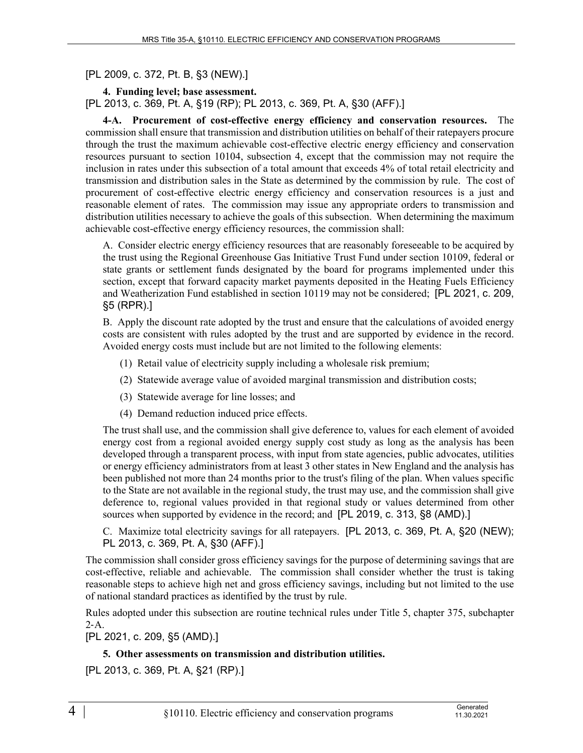[PL 2009, c. 372, Pt. B, §3 (NEW).]

**4. Funding level; base assessment.**  [PL 2013, c. 369, Pt. A, §19 (RP); PL 2013, c. 369, Pt. A, §30 (AFF).]

**4-A. Procurement of cost-effective energy efficiency and conservation resources.** The commission shall ensure that transmission and distribution utilities on behalf of their ratepayers procure through the trust the maximum achievable cost-effective electric energy efficiency and conservation resources pursuant to section 10104, subsection 4, except that the commission may not require the inclusion in rates under this subsection of a total amount that exceeds 4% of total retail electricity and transmission and distribution sales in the State as determined by the commission by rule. The cost of procurement of cost-effective electric energy efficiency and conservation resources is a just and reasonable element of rates. The commission may issue any appropriate orders to transmission and distribution utilities necessary to achieve the goals of this subsection. When determining the maximum achievable cost-effective energy efficiency resources, the commission shall:

A. Consider electric energy efficiency resources that are reasonably foreseeable to be acquired by the trust using the Regional Greenhouse Gas Initiative Trust Fund under section 10109, federal or state grants or settlement funds designated by the board for programs implemented under this section, except that forward capacity market payments deposited in the Heating Fuels Efficiency and Weatherization Fund established in section 10119 may not be considered; [PL 2021, c. 209, §5 (RPR).]

B. Apply the discount rate adopted by the trust and ensure that the calculations of avoided energy costs are consistent with rules adopted by the trust and are supported by evidence in the record. Avoided energy costs must include but are not limited to the following elements:

- (1) Retail value of electricity supply including a wholesale risk premium;
- (2) Statewide average value of avoided marginal transmission and distribution costs;
- (3) Statewide average for line losses; and
- (4) Demand reduction induced price effects.

The trust shall use, and the commission shall give deference to, values for each element of avoided energy cost from a regional avoided energy supply cost study as long as the analysis has been developed through a transparent process, with input from state agencies, public advocates, utilities or energy efficiency administrators from at least 3 other states in New England and the analysis has been published not more than 24 months prior to the trust's filing of the plan. When values specific to the State are not available in the regional study, the trust may use, and the commission shall give deference to, regional values provided in that regional study or values determined from other sources when supported by evidence in the record; and [PL 2019, c. 313, §8 (AMD).]

C. Maximize total electricity savings for all ratepayers. [PL 2013, c. 369, Pt. A, §20 (NEW); PL 2013, c. 369, Pt. A, §30 (AFF).]

The commission shall consider gross efficiency savings for the purpose of determining savings that are cost-effective, reliable and achievable. The commission shall consider whether the trust is taking reasonable steps to achieve high net and gross efficiency savings, including but not limited to the use of national standard practices as identified by the trust by rule.

Rules adopted under this subsection are routine technical rules under Title 5, chapter 375, subchapter  $2-A$ .

[PL 2021, c. 209, §5 (AMD).]

## **5. Other assessments on transmission and distribution utilities.**

[PL 2013, c. 369, Pt. A, §21 (RP).]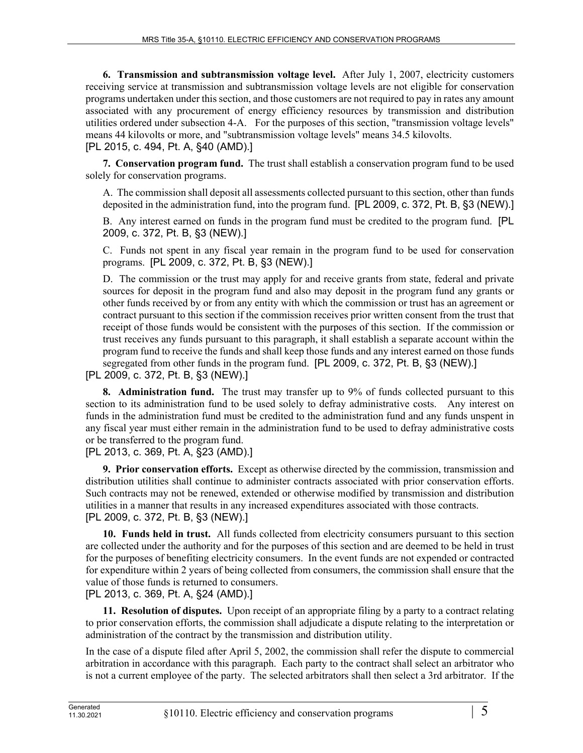**6. Transmission and subtransmission voltage level.** After July 1, 2007, electricity customers receiving service at transmission and subtransmission voltage levels are not eligible for conservation programs undertaken under this section, and those customers are not required to pay in rates any amount associated with any procurement of energy efficiency resources by transmission and distribution utilities ordered under subsection 4-A. For the purposes of this section, "transmission voltage levels" means 44 kilovolts or more, and "subtransmission voltage levels" means 34.5 kilovolts. [PL 2015, c. 494, Pt. A, §40 (AMD).]

**7. Conservation program fund.** The trust shall establish a conservation program fund to be used solely for conservation programs.

A. The commission shall deposit all assessments collected pursuant to this section, other than funds deposited in the administration fund, into the program fund. [PL 2009, c. 372, Pt. B, §3 (NEW).]

B. Any interest earned on funds in the program fund must be credited to the program fund. [PL 2009, c. 372, Pt. B, §3 (NEW).]

C. Funds not spent in any fiscal year remain in the program fund to be used for conservation programs. [PL 2009, c. 372, Pt. B, §3 (NEW).]

D. The commission or the trust may apply for and receive grants from state, federal and private sources for deposit in the program fund and also may deposit in the program fund any grants or other funds received by or from any entity with which the commission or trust has an agreement or contract pursuant to this section if the commission receives prior written consent from the trust that receipt of those funds would be consistent with the purposes of this section. If the commission or trust receives any funds pursuant to this paragraph, it shall establish a separate account within the program fund to receive the funds and shall keep those funds and any interest earned on those funds segregated from other funds in the program fund. [PL 2009, c. 372, Pt. B, §3 (NEW).]

[PL 2009, c. 372, Pt. B, §3 (NEW).]

**8. Administration fund.** The trust may transfer up to 9% of funds collected pursuant to this section to its administration fund to be used solely to defray administrative costs. Any interest on funds in the administration fund must be credited to the administration fund and any funds unspent in any fiscal year must either remain in the administration fund to be used to defray administrative costs or be transferred to the program fund.

[PL 2013, c. 369, Pt. A, §23 (AMD).]

**9. Prior conservation efforts.** Except as otherwise directed by the commission, transmission and distribution utilities shall continue to administer contracts associated with prior conservation efforts. Such contracts may not be renewed, extended or otherwise modified by transmission and distribution utilities in a manner that results in any increased expenditures associated with those contracts. [PL 2009, c. 372, Pt. B, §3 (NEW).]

**10. Funds held in trust.** All funds collected from electricity consumers pursuant to this section are collected under the authority and for the purposes of this section and are deemed to be held in trust for the purposes of benefiting electricity consumers. In the event funds are not expended or contracted for expenditure within 2 years of being collected from consumers, the commission shall ensure that the value of those funds is returned to consumers.

[PL 2013, c. 369, Pt. A, §24 (AMD).]

**11. Resolution of disputes.** Upon receipt of an appropriate filing by a party to a contract relating to prior conservation efforts, the commission shall adjudicate a dispute relating to the interpretation or administration of the contract by the transmission and distribution utility.

In the case of a dispute filed after April 5, 2002, the commission shall refer the dispute to commercial arbitration in accordance with this paragraph. Each party to the contract shall select an arbitrator who is not a current employee of the party. The selected arbitrators shall then select a 3rd arbitrator. If the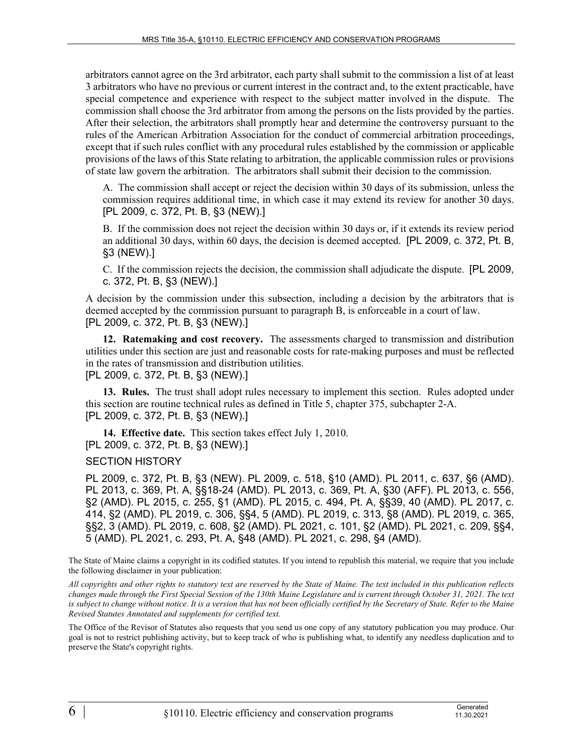arbitrators cannot agree on the 3rd arbitrator, each party shall submit to the commission a list of at least 3 arbitrators who have no previous or current interest in the contract and, to the extent practicable, have special competence and experience with respect to the subject matter involved in the dispute. The commission shall choose the 3rd arbitrator from among the persons on the lists provided by the parties. After their selection, the arbitrators shall promptly hear and determine the controversy pursuant to the rules of the American Arbitration Association for the conduct of commercial arbitration proceedings, except that if such rules conflict with any procedural rules established by the commission or applicable provisions of the laws of this State relating to arbitration, the applicable commission rules or provisions of state law govern the arbitration. The arbitrators shall submit their decision to the commission.

A. The commission shall accept or reject the decision within 30 days of its submission, unless the commission requires additional time, in which case it may extend its review for another 30 days. [PL 2009, c. 372, Pt. B, §3 (NEW).]

B. If the commission does not reject the decision within 30 days or, if it extends its review period an additional 30 days, within 60 days, the decision is deemed accepted. [PL 2009, c. 372, Pt. B, §3 (NEW).]

C. If the commission rejects the decision, the commission shall adjudicate the dispute. [PL 2009, c. 372, Pt. B, §3 (NEW).]

A decision by the commission under this subsection, including a decision by the arbitrators that is deemed accepted by the commission pursuant to paragraph B, is enforceable in a court of law. [PL 2009, c. 372, Pt. B, §3 (NEW).]

**12. Ratemaking and cost recovery.** The assessments charged to transmission and distribution utilities under this section are just and reasonable costs for rate-making purposes and must be reflected in the rates of transmission and distribution utilities.

[PL 2009, c. 372, Pt. B, §3 (NEW).]

**13. Rules.** The trust shall adopt rules necessary to implement this section. Rules adopted under this section are routine technical rules as defined in Title 5, chapter 375, subchapter 2-A. [PL 2009, c. 372, Pt. B, §3 (NEW).]

**14. Effective date.** This section takes effect July 1, 2010. [PL 2009, c. 372, Pt. B, §3 (NEW).]

SECTION HISTORY

PL 2009, c. 372, Pt. B, §3 (NEW). PL 2009, c. 518, §10 (AMD). PL 2011, c. 637, §6 (AMD). PL 2013, c. 369, Pt. A, §§18-24 (AMD). PL 2013, c. 369, Pt. A, §30 (AFF). PL 2013, c. 556, §2 (AMD). PL 2015, c. 255, §1 (AMD). PL 2015, c. 494, Pt. A, §§39, 40 (AMD). PL 2017, c. 414, §2 (AMD). PL 2019, c. 306, §§4, 5 (AMD). PL 2019, c. 313, §8 (AMD). PL 2019, c. 365, §§2, 3 (AMD). PL 2019, c. 608, §2 (AMD). PL 2021, c. 101, §2 (AMD). PL 2021, c. 209, §§4, 5 (AMD). PL 2021, c. 293, Pt. A, §48 (AMD). PL 2021, c. 298, §4 (AMD).

The State of Maine claims a copyright in its codified statutes. If you intend to republish this material, we require that you include the following disclaimer in your publication:

*All copyrights and other rights to statutory text are reserved by the State of Maine. The text included in this publication reflects changes made through the First Special Session of the 130th Maine Legislature and is current through October 31, 2021. The text*  is subject to change without notice. It is a version that has not been officially certified by the Secretary of State. Refer to the Maine *Revised Statutes Annotated and supplements for certified text.*

The Office of the Revisor of Statutes also requests that you send us one copy of any statutory publication you may produce. Our goal is not to restrict publishing activity, but to keep track of who is publishing what, to identify any needless duplication and to preserve the State's copyright rights.